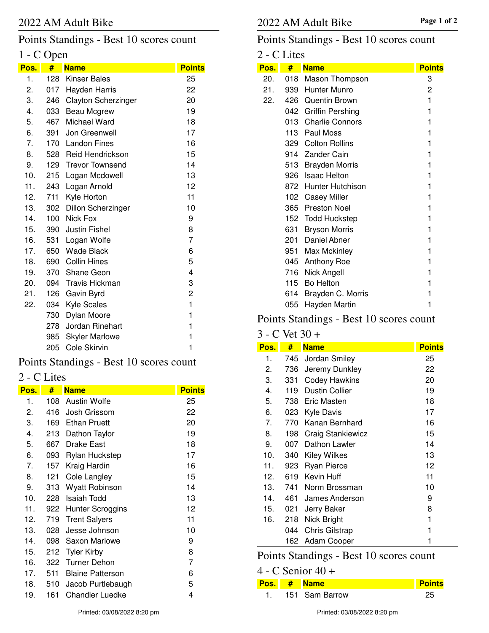## Points Standings - Best 10 scores count

## 1 - C Open

| Pos. | #   | <b>Name</b>                | <b>Points</b> |
|------|-----|----------------------------|---------------|
| 1.   |     | 128 Kinser Bales           | 25            |
| 2.   |     | 017 Hayden Harris          | 22            |
| 3.   | 246 | <b>Clayton Scherzinger</b> | 20            |
| 4.   |     | 033 Beau Mcgrew            | 19            |
| 5.   |     | 467 Michael Ward           | 18            |
| 6.   | 391 | Jon Greenwell              | 17            |
| 7.   |     | 170 Landon Fines           | 16            |
| 8.   |     | 528 Reid Hendrickson       | 15            |
| 9.   |     | 129 Trevor Townsend        | 14            |
| 10.  | 215 | Logan Mcdowell             | 13            |
| 11.  | 243 | Logan Arnold               | 12            |
| 12.  | 711 | Kyle Horton                | 11            |
| 13.  | 302 | <b>Dillon Scherzinger</b>  | 10            |
| 14.  | 100 | Nick Fox                   | 9             |
| 15.  |     | 390 Justin Fishel          | 8             |
| 16.  |     | 531 Logan Wolfe            | 7             |
| 17.  |     | 650 Wade Black             | 6             |
| 18.  |     | 690 Collin Hines           | 5             |
| 19.  |     | 370 Shane Geon             | 4             |
| 20.  |     | 094 Travis Hickman         | 3             |
| 21.  | 126 | Gavin Byrd                 | 2             |
| 22.  | 034 | <b>Kyle Scales</b>         | $\mathbf{1}$  |
|      | 730 | Dylan Moore                | 1             |
|      | 278 | Jordan Rinehart            | 1             |
|      | 985 | <b>Skyler Marlowe</b>      | 1             |
|      | 205 | Cole Skirvin               | 1             |

## Points Standings - Best 10 scores count

# 2 - C Lites

| Pos. | #   | <b>Name</b>             | <b>Points</b> |
|------|-----|-------------------------|---------------|
| 1.   | 108 | Austin Wolfe            | 25            |
| 2.   | 416 | Josh Grissom            | 22            |
| 3.   | 169 | <b>Ethan Pruett</b>     | 20            |
| 4.   | 213 | Dathon Taylor           | 19            |
| 5.   | 667 | Drake East              | 18            |
| 6.   | 093 | Rylan Huckstep          | 17            |
| 7.   | 157 | Kraig Hardin            | 16            |
| 8.   | 121 | Cole Langley            | 15            |
| 9.   | 313 | Wyatt Robinson          | 14            |
| 10.  | 228 | Isaiah Todd             | 13            |
| 11.  | 922 | <b>Hunter Scroggins</b> | 12            |
| 12.  | 719 | <b>Trent Salyers</b>    | 11            |
| 13.  | 028 | Jesse Johnson           | 10            |
| 14.  | 098 | Saxon Marlowe           | 9             |
| 15.  | 212 | <b>Tyler Kirby</b>      | 8             |
| 16.  | 322 | Turner Dehon            | 7             |
| 17.  | 511 | <b>Blaine Patterson</b> | 6             |
| 18.  | 510 | Jacob Purtlebaugh       | 5             |
| 19.  | 161 | Chandler Luedke         | 4             |

## Points Standings - Best 10 scores count

### 2 - C Lites

| Pos. | #   | <b>Name</b>            | <b>Points</b> |
|------|-----|------------------------|---------------|
| 20.  | 018 | Mason Thompson         | 3             |
| 21.  | 939 | Hunter Munro           | 2             |
| 22.  | 426 | Quentin Brown          | 1             |
|      |     | 042 Griffin Pershing   | 1             |
|      | 013 | <b>Charlie Connors</b> | 1             |
|      |     | 113 Paul Moss          | 1             |
|      |     | 329 Colton Rollins     | 1             |
|      |     | 914 Zander Cain        | 1             |
|      | 513 | <b>Brayden Morris</b>  | 1             |
|      | 926 | <b>Isaac Helton</b>    | 1             |
|      |     | 872 Hunter Hutchison   | 1             |
|      |     | 102 Casey Miller       | 1             |
|      | 365 | <b>Preston Noel</b>    | 1             |
|      |     | 152 Todd Huckstep      | 1             |
|      | 631 | <b>Bryson Morris</b>   | 1             |
|      | 201 | Daniel Abner           | 1             |
|      | 951 | Max Mckinley           | 1             |
|      | 045 | Anthony Roe            | 1             |
|      | 716 | Nick Angell            | 1             |
|      | 115 | <b>Bo Helton</b>       | 1             |
|      | 614 | Brayden C. Morris      | 1             |
|      | 055 | Hayden Martin          | 1             |

# Points Standings - Best 10 scores count

#### 3 - C Vet 30 +

| Pos. | #   | <b>Name</b>              | <b>Points</b> |
|------|-----|--------------------------|---------------|
| 1.   | 745 | Jordan Smiley            | 25            |
| 2.   | 736 | Jeremy Dunkley           | 22            |
| 3.   | 331 | <b>Codey Hawkins</b>     | 20            |
| 4.   | 119 | <b>Dustin Collier</b>    | 19            |
| 5.   |     | 738 Eric Masten          | 18            |
| 6.   | 023 | <b>Kyle Davis</b>        | 17            |
| 7.   | 770 | Kanan Bernhard           | 16            |
| 8.   | 198 | <b>Craig Stankiewicz</b> | 15            |
| 9.   | 007 | Dathon Lawler            | 14            |
| 10.  | 340 | Kiley Wilkes             | 13            |
| 11.  | 923 | <b>Ryan Pierce</b>       | 12            |
| 12.  | 619 | Kevin Huff               | 11            |
| 13.  | 741 | Norm Brossman            | 10            |
| 14.  | 461 | James Anderson           | 9             |
| 15.  | 021 | Jerry Baker              | 8             |
| 16.  | 218 | Nick Bright              | 1             |
|      | 044 | <b>Chris Gilstrap</b>    | 1             |
|      | 162 | Adam Cooper              | 1             |

# Points Standings - Best 10 scores count

|  |  | $4 - C$ Senior $40 +$ |  |  |
|--|--|-----------------------|--|--|
|--|--|-----------------------|--|--|

|  | Pos. # Name    | <b>Points</b> |
|--|----------------|---------------|
|  | 151 Sam Barrow |               |